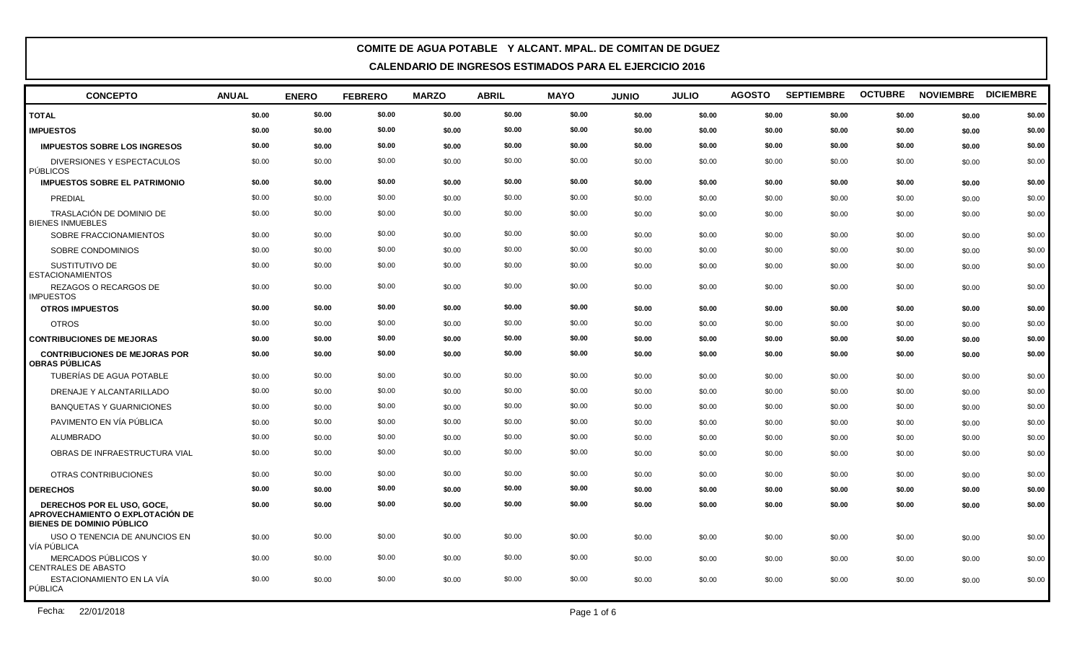| <b>CONCEPTO</b>                                                                                    | <b>ANUAL</b> | <b>ENERO</b> | <b>FEBRERO</b> | <b>MARZO</b> | <b>ABRIL</b> | <b>MAYO</b> | <b>JUNIO</b> | <b>JULIO</b> | <b>AGOSTO</b> | <b>SEPTIEMBRE</b> | <b>OCTUBRE</b> | <b>NOVIEMBRE</b> | <b>DICIEMBRE</b> |
|----------------------------------------------------------------------------------------------------|--------------|--------------|----------------|--------------|--------------|-------------|--------------|--------------|---------------|-------------------|----------------|------------------|------------------|
| <b>TOTAL</b>                                                                                       | \$0.00       | \$0.00       | \$0.00         | \$0.00       | \$0.00       | \$0.00      | \$0.00       | \$0.00       | \$0.00        | \$0.00            | \$0.00         | \$0.00           | \$0.00           |
| <b>IMPUESTOS</b>                                                                                   | \$0.00       | \$0.00       | \$0.00         | \$0.00       | \$0.00       | \$0.00      | \$0.00       | \$0.00       | \$0.00        | \$0.00            | \$0.00         | \$0.00           | \$0.00           |
| <b>IMPUESTOS SOBRE LOS INGRESOS</b>                                                                | \$0.00       | \$0.00       | \$0.00         | \$0.00       | \$0.00       | \$0.00      | \$0.00       | \$0.00       | \$0.00        | \$0.00            | \$0.00         | \$0.00           | \$0.00           |
| DIVERSIONES Y ESPECTACULOS<br>PÚBLICOS                                                             | \$0.00       | \$0.00       | \$0.00         | \$0.00       | \$0.00       | \$0.00      | \$0.00       | \$0.00       | \$0.00        | \$0.00            | \$0.00         | \$0.00           | \$0.00           |
| <b>IMPUESTOS SOBRE EL PATRIMONIO</b>                                                               | \$0.00       | \$0.00       | \$0.00         | \$0.00       | \$0.00       | \$0.00      | \$0.00       | \$0.00       | \$0.00        | \$0.00            | \$0.00         | \$0.00           | \$0.00           |
| PREDIAL                                                                                            | \$0.00       | \$0.00       | \$0.00         | \$0.00       | \$0.00       | \$0.00      | \$0.00       | \$0.00       | \$0.00        | \$0.00            | \$0.00         | \$0.00           | \$0.00           |
| TRASLACIÓN DE DOMINIO DE<br><b>BIENES INMUEBLES</b>                                                | \$0.00       | \$0.00       | \$0.00         | \$0.00       | \$0.00       | \$0.00      | \$0.00       | \$0.00       | \$0.00        | \$0.00            | \$0.00         | \$0.00           | \$0.00           |
| SOBRE FRACCIONAMIENTOS                                                                             | \$0.00       | \$0.00       | \$0.00         | \$0.00       | \$0.00       | \$0.00      | \$0.00       | \$0.00       | \$0.00        | \$0.00            | \$0.00         | \$0.00           | \$0.00           |
| SOBRE CONDOMINIOS                                                                                  | \$0.00       | \$0.00       | \$0.00         | \$0.00       | \$0.00       | \$0.00      | \$0.00       | \$0.00       | \$0.00        | \$0.00            | \$0.00         | \$0.00           | \$0.00           |
| SUSTITUTIVO DE<br><b>ESTACIONAMIENTOS</b>                                                          | \$0.00       | \$0.00       | \$0.00         | \$0.00       | \$0.00       | \$0.00      | \$0.00       | \$0.00       | \$0.00        | \$0.00            | \$0.00         | \$0.00           | \$0.00           |
| REZAGOS O RECARGOS DE<br><b>IMPUESTOS</b>                                                          | \$0.00       | \$0.00       | \$0.00         | \$0.00       | \$0.00       | \$0.00      | \$0.00       | \$0.00       | \$0.00        | \$0.00            | \$0.00         | \$0.00           | \$0.00           |
| <b>OTROS IMPUESTOS</b>                                                                             | \$0.00       | \$0.00       | \$0.00         | \$0.00       | \$0.00       | \$0.00      | \$0.00       | \$0.00       | \$0.00        | \$0.00            | \$0.00         | \$0.00           | \$0.00           |
| <b>OTROS</b>                                                                                       | \$0.00       | \$0.00       | \$0.00         | \$0.00       | \$0.00       | \$0.00      | \$0.00       | \$0.00       | \$0.00        | \$0.00            | \$0.00         | \$0.00           | \$0.00           |
| <b>CONTRIBUCIONES DE MEJORAS</b>                                                                   | \$0.00       | \$0.00       | \$0.00         | \$0.00       | \$0.00       | \$0.00      | \$0.00       | \$0.00       | \$0.00        | \$0.00            | \$0.00         | \$0.00           | \$0.00           |
| <b>CONTRIBUCIONES DE MEJORAS POR</b><br><b>OBRAS PÚBLICAS</b>                                      | \$0.00       | \$0.00       | \$0.00         | \$0.00       | \$0.00       | \$0.00      | \$0.00       | \$0.00       | \$0.00        | \$0.00            | \$0.00         | \$0.00           | \$0.00           |
| TUBERÍAS DE AGUA POTABLE                                                                           | \$0.00       | \$0.00       | \$0.00         | \$0.00       | \$0.00       | \$0.00      | \$0.00       | \$0.00       | \$0.00        | \$0.00            | \$0.00         | \$0.00           | \$0.00           |
| DRENAJE Y ALCANTARILLADO                                                                           | \$0.00       | \$0.00       | \$0.00         | \$0.00       | \$0.00       | \$0.00      | \$0.00       | \$0.00       | \$0.00        | \$0.00            | \$0.00         | \$0.00           | \$0.00           |
| <b>BANQUETAS Y GUARNICIONES</b>                                                                    | \$0.00       | \$0.00       | \$0.00         | \$0.00       | \$0.00       | \$0.00      | \$0.00       | \$0.00       | \$0.00        | \$0.00            | \$0.00         | \$0.00           | \$0.00           |
| PAVIMENTO EN VÍA PÚBLICA                                                                           | \$0.00       | \$0.00       | \$0.00         | \$0.00       | \$0.00       | \$0.00      | \$0.00       | \$0.00       | \$0.00        | \$0.00            | \$0.00         | \$0.00           | \$0.00           |
| <b>ALUMBRADO</b>                                                                                   | \$0.00       | \$0.00       | \$0.00         | \$0.00       | \$0.00       | \$0.00      | \$0.00       | \$0.00       | \$0.00        | \$0.00            | \$0.00         | \$0.00           | \$0.00           |
| OBRAS DE INFRAESTRUCTURA VIAL                                                                      | \$0.00       | \$0.00       | \$0.00         | \$0.00       | \$0.00       | \$0.00      | \$0.00       | \$0.00       | \$0.00        | \$0.00            | \$0.00         | \$0.00           | \$0.00           |
| OTRAS CONTRIBUCIONES                                                                               | \$0.00       | \$0.00       | \$0.00         | \$0.00       | \$0.00       | \$0.00      | \$0.00       | \$0.00       | \$0.00        | \$0.00            | \$0.00         | \$0.00           | \$0.00           |
| <b>DERECHOS</b>                                                                                    | \$0.00       | \$0.00       | \$0.00         | \$0.00       | \$0.00       | \$0.00      | \$0.00       | \$0.00       | \$0.00        | \$0.00            | \$0.00         | \$0.00           | \$0.00           |
| DERECHOS POR EL USO, GOCE,<br>APROVECHAMIENTO O EXPLOTACIÓN DE<br><b>BIENES DE DOMINIO PÚBLICO</b> | \$0.00       | \$0.00       | \$0.00         | \$0.00       | \$0.00       | \$0.00      | \$0.00       | \$0.00       | \$0.00        | \$0.00            | \$0.00         | \$0.00           | \$0.00           |
| USO O TENENCIA DE ANUNCIOS EN<br>  VÍA PÚBLICA                                                     | \$0.00       | \$0.00       | \$0.00         | \$0.00       | \$0.00       | \$0.00      | \$0.00       | \$0.00       | \$0.00        | \$0.00            | \$0.00         | \$0.00           | \$0.00           |
| MERCADOS PÚBLICOS Y<br>CENTRALES DE ABASTO                                                         | \$0.00       | \$0.00       | \$0.00         | \$0.00       | \$0.00       | \$0.00      | \$0.00       | \$0.00       | \$0.00        | \$0.00            | \$0.00         | \$0.00           | \$0.00           |
| ESTACIONAMIENTO EN LA VÍA<br><b>PÚBLICA</b>                                                        | \$0.00       | \$0.00       | \$0.00         | \$0.00       | \$0.00       | \$0.00      | \$0.00       | \$0.00       | \$0.00        | \$0.00            | \$0.00         | \$0.00           | \$0.00           |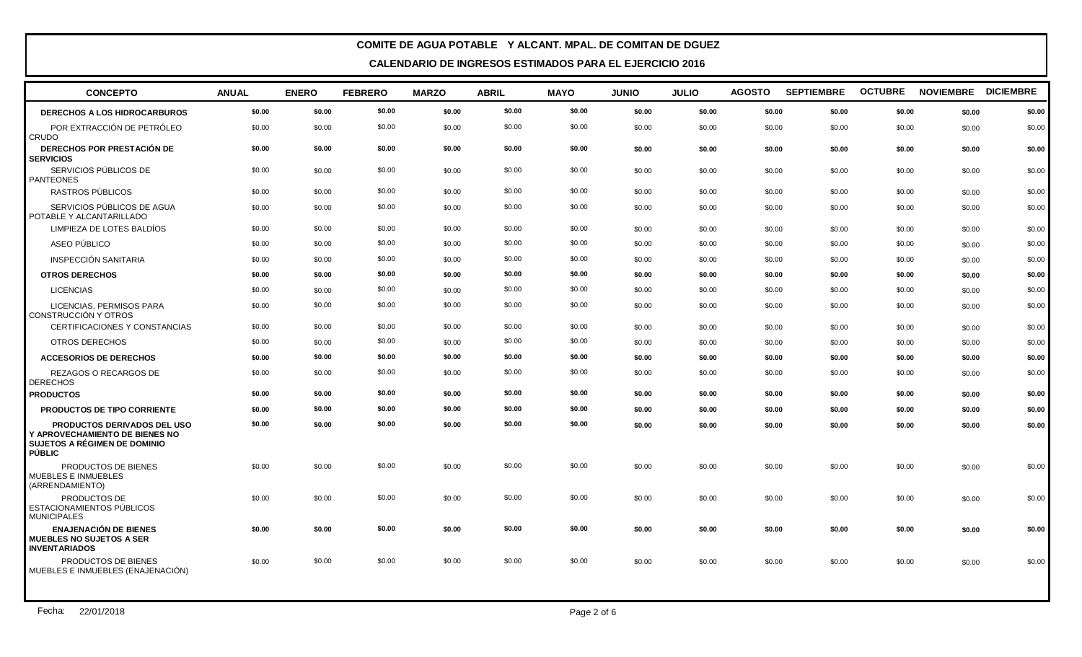| <b>CONCEPTO</b>                                                                                           | <b>ANUAL</b> | <b>ENERO</b> | <b>FEBRERO</b> | <b>MARZO</b> | <b>ABRIL</b> | <b>MAYO</b> | <b>JUNIO</b> | <b>JULIO</b> | <b>AGOSTO</b> | <b>SEPTIEMBRE</b> | <b>OCTUBRE</b> | NOVIEMBRE DICIEMBRE |        |
|-----------------------------------------------------------------------------------------------------------|--------------|--------------|----------------|--------------|--------------|-------------|--------------|--------------|---------------|-------------------|----------------|---------------------|--------|
| <b>DERECHOS A LOS HIDROCARBUROS</b>                                                                       | \$0.00       | \$0.00       | \$0.00         | \$0.00       | \$0.00       | \$0.00      | \$0.00       | \$0.00       | \$0.00        | \$0.00            | \$0.00         | \$0.00              | \$0.00 |
| POR EXTRACCIÓN DE PETRÓLEO<br><b>CRUDO</b>                                                                | \$0.00       | \$0.00       | \$0.00         | \$0.00       | \$0.00       | \$0.00      | \$0.00       | \$0.00       | \$0.00        | \$0.00            | \$0.00         | \$0.00              | \$0.00 |
| DERECHOS POR PRESTACIÓN DE<br><b>SERVICIOS</b>                                                            | \$0.00       | \$0.00       | \$0.00         | \$0.00       | \$0.00       | \$0.00      | \$0.00       | \$0.00       | \$0.00        | \$0.00            | \$0.00         | \$0.00              | \$0.00 |
| SERVICIOS PÚBLICOS DE<br><b>PANTEONES</b>                                                                 | \$0.00       | \$0.00       | \$0.00         | \$0.00       | \$0.00       | \$0.00      | \$0.00       | \$0.00       | \$0.00        | \$0.00            | \$0.00         | \$0.00              | \$0.00 |
| RASTROS PÚBLICOS                                                                                          | \$0.00       | \$0.00       | \$0.00         | \$0.00       | \$0.00       | \$0.00      | \$0.00       | \$0.00       | \$0.00        | \$0.00            | \$0.00         | \$0.00              | \$0.00 |
| SERVICIOS PÚBLICOS DE AGUA<br>POTABLE Y ALCANTARILLADO                                                    | \$0.00       | \$0.00       | \$0.00         | \$0.00       | \$0.00       | \$0.00      | \$0.00       | \$0.00       | \$0.00        | \$0.00            | \$0.00         | \$0.00              | \$0.00 |
| LIMPIEZA DE LOTES BALDÍOS                                                                                 | \$0.00       | \$0.00       | \$0.00         | \$0.00       | \$0.00       | \$0.00      | \$0.00       | \$0.00       | \$0.00        | \$0.00            | \$0.00         | \$0.00              | \$0.00 |
| ASEO PÚBLICO                                                                                              | \$0.00       | \$0.00       | \$0.00         | \$0.00       | \$0.00       | \$0.00      | \$0.00       | \$0.00       | \$0.00        | \$0.00            | \$0.00         | \$0.00              | \$0.00 |
| <b>INSPECCIÓN SANITARIA</b>                                                                               | \$0.00       | \$0.00       | \$0.00         | \$0.00       | \$0.00       | \$0.00      | \$0.00       | \$0.00       | \$0.00        | \$0.00            | \$0.00         | \$0.00              | \$0.00 |
| <b>OTROS DERECHOS</b>                                                                                     | \$0.00       | \$0.00       | \$0.00         | \$0.00       | \$0.00       | \$0.00      | \$0.00       | \$0.00       | \$0.00        | \$0.00            | \$0.00         | \$0.00              | \$0.00 |
| <b>LICENCIAS</b>                                                                                          | \$0.00       | \$0.00       | \$0.00         | \$0.00       | \$0.00       | \$0.00      | \$0.00       | \$0.00       | \$0.00        | \$0.00            | \$0.00         | \$0.00              | \$0.00 |
| LICENCIAS, PERMISOS PARA<br>CONSTRUCCIÓN Y OTROS                                                          | \$0.00       | \$0.00       | \$0.00         | \$0.00       | \$0.00       | \$0.00      | \$0.00       | \$0.00       | \$0.00        | \$0.00            | \$0.00         | \$0.00              | \$0.00 |
| CERTIFICACIONES Y CONSTANCIAS                                                                             | \$0.00       | \$0.00       | \$0.00         | \$0.00       | \$0.00       | \$0.00      | \$0.00       | \$0.00       | \$0.00        | \$0.00            | \$0.00         | \$0.00              | \$0.00 |
| <b>OTROS DERECHOS</b>                                                                                     | \$0.00       | \$0.00       | \$0.00         | \$0.00       | \$0.00       | \$0.00      | \$0.00       | \$0.00       | \$0.00        | \$0.00            | \$0.00         | \$0.00              | \$0.00 |
| <b>ACCESORIOS DE DERECHOS</b>                                                                             | \$0.00       | \$0.00       | \$0.00         | \$0.00       | \$0.00       | \$0.00      | \$0.00       | \$0.00       | \$0.00        | \$0.00            | \$0.00         | \$0.00              | \$0.00 |
| REZAGOS O RECARGOS DE<br><b>DERECHOS</b>                                                                  | \$0.00       | \$0.00       | \$0.00         | \$0.00       | \$0.00       | \$0.00      | \$0.00       | \$0.00       | \$0.00        | \$0.00            | \$0.00         | \$0.00              | \$0.00 |
| <b>PRODUCTOS</b>                                                                                          | \$0.00       | \$0.00       | \$0.00         | \$0.00       | \$0.00       | \$0.00      | \$0.00       | \$0.00       | \$0.00        | \$0.00            | \$0.00         | \$0.00              | \$0.00 |
| <b>PRODUCTOS DE TIPO CORRIENTE</b>                                                                        | \$0.00       | \$0.00       | \$0.00         | \$0.00       | \$0.00       | \$0.00      | \$0.00       | \$0.00       | \$0.00        | \$0.00            | \$0.00         | \$0.00              | \$0.00 |
| PRODUCTOS DERIVADOS DEL USO<br>Y APROVECHAMIENTO DE BIENES NO<br>SUJETOS A RÉGIMEN DE DOMINIO<br>l PÚBLIC | \$0.00       | \$0.00       | \$0.00         | \$0.00       | \$0.00       | \$0.00      | \$0.00       | \$0.00       | \$0.00        | \$0.00            | \$0.00         | \$0.00              | \$0.00 |
| PRODUCTOS DE BIENES<br>MUEBLES E INMUEBLES<br>(ARRENDAMIENTO)                                             | \$0.00       | \$0.00       | \$0.00         | \$0.00       | \$0.00       | \$0.00      | \$0.00       | \$0.00       | \$0.00        | \$0.00            | \$0.00         | \$0.00              | \$0.00 |
| PRODUCTOS DE<br><b>ESTACIONAMIENTOS PÚBLICOS</b><br><b>MUNICIPALES</b>                                    | \$0.00       | \$0.00       | \$0.00         | \$0.00       | \$0.00       | \$0.00      | \$0.00       | \$0.00       | \$0.00        | \$0.00            | \$0.00         | \$0.00              | \$0.00 |
| <b>ENAJENACIÓN DE BIENES</b><br><b>MUEBLES NO SUJETOS A SER</b><br><b>INVENTARIADOS</b>                   | \$0.00       | \$0.00       | \$0.00         | \$0.00       | \$0.00       | \$0.00      | \$0.00       | \$0.00       | \$0.00        | \$0.00            | \$0.00         | \$0.00              | \$0.00 |
| PRODUCTOS DE BIENES<br>MUEBLES E INMUEBLES (ENAJENACIÓN)                                                  | \$0.00       | \$0.00       | \$0.00         | \$0.00       | \$0.00       | \$0.00      | \$0.00       | \$0.00       | \$0.00        | \$0.00            | \$0.00         | \$0.00              | \$0.00 |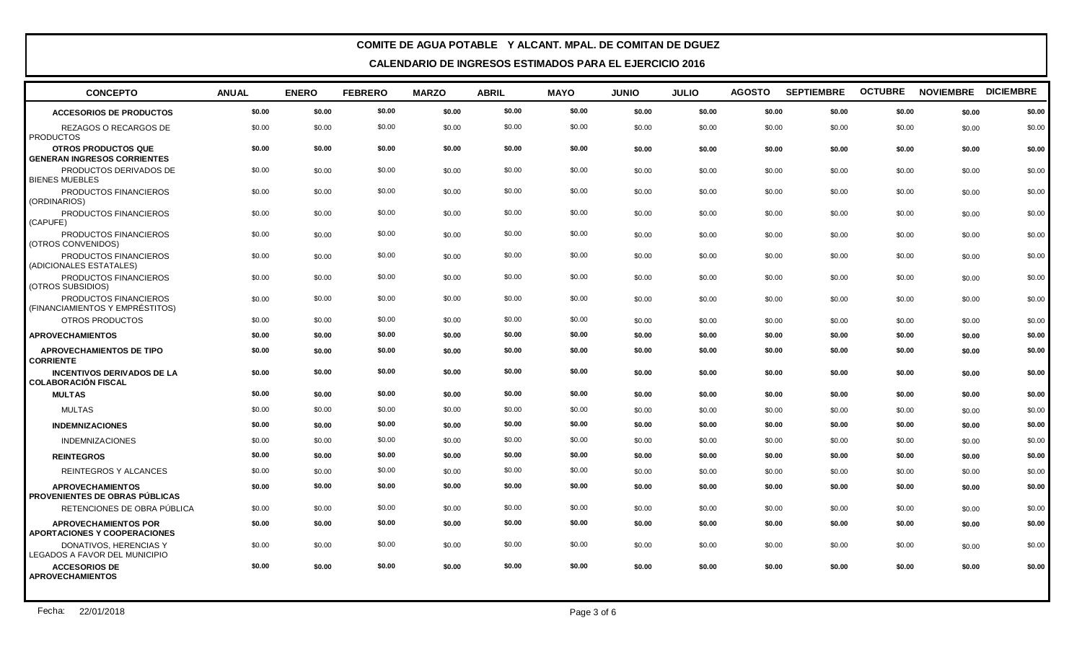| <b>CONCEPTO</b>                                                  | <b>ANUAL</b> | <b>ENERO</b> | <b>FEBRERO</b> | <b>MARZO</b> | <b>ABRIL</b> | <b>MAYO</b> | <b>JUNIO</b> | <b>JULIO</b> | <b>AGOSTO</b> | <b>SEPTIEMBRE</b> | <b>OCTUBRE</b> | NOVIEMBRE DICIEMBRE |        |
|------------------------------------------------------------------|--------------|--------------|----------------|--------------|--------------|-------------|--------------|--------------|---------------|-------------------|----------------|---------------------|--------|
| <b>ACCESORIOS DE PRODUCTOS</b>                                   | \$0.00       | \$0.00       | \$0.00         | \$0.00       | \$0.00       | \$0.00      | \$0.00       | \$0.00       | \$0.00        | \$0.00            | \$0.00         | \$0.00              | \$0.00 |
| REZAGOS O RECARGOS DE<br><b>PRODUCTOS</b>                        | \$0.00       | \$0.00       | \$0.00         | \$0.00       | \$0.00       | \$0.00      | \$0.00       | \$0.00       | \$0.00        | \$0.00            | \$0.00         | \$0.00              | \$0.00 |
| <b>OTROS PRODUCTOS QUE</b><br><b>GENERAN INGRESOS CORRIENTES</b> | \$0.00       | \$0.00       | \$0.00         | \$0.00       | \$0.00       | \$0.00      | \$0.00       | \$0.00       | \$0.00        | \$0.00            | \$0.00         | \$0.00              | \$0.00 |
| PRODUCTOS DERIVADOS DE<br><b>BIENES MUEBLES</b>                  | \$0.00       | \$0.00       | \$0.00         | \$0.00       | \$0.00       | \$0.00      | \$0.00       | \$0.00       | \$0.00        | \$0.00            | \$0.00         | \$0.00              | \$0.00 |
| PRODUCTOS FINANCIEROS<br>(ORDINARIOS)                            | \$0.00       | \$0.00       | \$0.00         | \$0.00       | \$0.00       | \$0.00      | \$0.00       | \$0.00       | \$0.00        | \$0.00            | \$0.00         | \$0.00              | \$0.00 |
| PRODUCTOS FINANCIEROS<br>(CAPUFE)                                | \$0.00       | \$0.00       | \$0.00         | \$0.00       | \$0.00       | \$0.00      | \$0.00       | \$0.00       | \$0.00        | \$0.00            | \$0.00         | \$0.00              | \$0.00 |
| PRODUCTOS FINANCIEROS<br>(OTROS CONVENIDOS)                      | \$0.00       | \$0.00       | \$0.00         | \$0.00       | \$0.00       | \$0.00      | \$0.00       | \$0.00       | \$0.00        | \$0.00            | \$0.00         | \$0.00              | \$0.00 |
| PRODUCTOS FINANCIEROS<br>(ADICIONALES ESTATALES)                 | \$0.00       | \$0.00       | \$0.00         | \$0.00       | \$0.00       | \$0.00      | \$0.00       | \$0.00       | \$0.00        | \$0.00            | \$0.00         | \$0.00              | \$0.00 |
| PRODUCTOS FINANCIEROS<br>(OTROS SUBSIDIOS)                       | \$0.00       | \$0.00       | \$0.00         | \$0.00       | \$0.00       | \$0.00      | \$0.00       | \$0.00       | \$0.00        | \$0.00            | \$0.00         | \$0.00              | \$0.00 |
| PRODUCTOS FINANCIEROS<br>(FINANCIAMIENTOS Y EMPRÉSTITOS)         | \$0.00       | \$0.00       | \$0.00         | \$0.00       | \$0.00       | \$0.00      | \$0.00       | \$0.00       | \$0.00        | \$0.00            | \$0.00         | \$0.00              | \$0.00 |
| OTROS PRODUCTOS                                                  | \$0.00       | \$0.00       | \$0.00         | \$0.00       | \$0.00       | \$0.00      | \$0.00       | \$0.00       | \$0.00        | \$0.00            | \$0.00         | \$0.00              | \$0.00 |
| <b>APROVECHAMIENTOS</b>                                          | \$0.00       | \$0.00       | \$0.00         | \$0.00       | \$0.00       | \$0.00      | \$0.00       | \$0.00       | \$0.00        | \$0.00            | \$0.00         | \$0.00              | \$0.00 |
| <b>APROVECHAMIENTOS DE TIPO</b><br><b>CORRIENTE</b>              | \$0.00       | \$0.00       | \$0.00         | \$0.00       | \$0.00       | \$0.00      | \$0.00       | \$0.00       | \$0.00        | \$0.00            | \$0.00         | \$0.00              | \$0.00 |
| <b>INCENTIVOS DERIVADOS DE LA</b><br><b>COLABORACIÓN FISCAL</b>  | \$0.00       | \$0.00       | \$0.00         | \$0.00       | \$0.00       | \$0.00      | \$0.00       | \$0.00       | \$0.00        | \$0.00            | \$0.00         | \$0.00              | \$0.00 |
| <b>MULTAS</b>                                                    | \$0.00       | \$0.00       | \$0.00         | \$0.00       | \$0.00       | \$0.00      | \$0.00       | \$0.00       | \$0.00        | \$0.00            | \$0.00         | \$0.00              | \$0.00 |
| <b>MULTAS</b>                                                    | \$0.00       | \$0.00       | \$0.00         | \$0.00       | \$0.00       | \$0.00      | \$0.00       | \$0.00       | \$0.00        | \$0.00            | \$0.00         | \$0.00              | \$0.00 |
| <b>INDEMNIZACIONES</b>                                           | \$0.00       | \$0.00       | \$0.00         | \$0.00       | \$0.00       | \$0.00      | \$0.00       | \$0.00       | \$0.00        | \$0.00            | \$0.00         | \$0.00              | \$0.00 |
| <b>INDEMNIZACIONES</b>                                           | \$0.00       | \$0.00       | \$0.00         | \$0.00       | \$0.00       | \$0.00      | \$0.00       | \$0.00       | \$0.00        | \$0.00            | \$0.00         | \$0.00              | \$0.00 |
| <b>REINTEGROS</b>                                                | \$0.00       | \$0.00       | \$0.00         | \$0.00       | \$0.00       | \$0.00      | \$0.00       | \$0.00       | \$0.00        | \$0.00            | \$0.00         | \$0.00              | \$0.00 |
| REINTEGROS Y ALCANCES                                            | \$0.00       | \$0.00       | \$0.00         | \$0.00       | \$0.00       | \$0.00      | \$0.00       | \$0.00       | \$0.00        | \$0.00            | \$0.00         | \$0.00              | \$0.00 |
| <b>APROVECHAMIENTOS</b><br>PROVENIENTES DE OBRAS PÚBLICAS        | \$0.00       | \$0.00       | \$0.00         | \$0.00       | \$0.00       | \$0.00      | \$0.00       | \$0.00       | \$0.00        | \$0.00            | \$0.00         | \$0.00              | \$0.00 |
| RETENCIONES DE OBRA PÚBLICA                                      | \$0.00       | \$0.00       | \$0.00         | \$0.00       | \$0.00       | \$0.00      | \$0.00       | \$0.00       | \$0.00        | \$0.00            | \$0.00         | \$0.00              | \$0.00 |
| <b>APROVECHAMIENTOS POR</b><br>APORTACIONES Y COOPERACIONES      | \$0.00       | \$0.00       | \$0.00         | \$0.00       | \$0.00       | \$0.00      | \$0.00       | \$0.00       | \$0.00        | \$0.00            | \$0.00         | \$0.00              | \$0.00 |
| DONATIVOS, HERENCIAS Y<br>LEGADOS A FAVOR DEL MUNICIPIO          | \$0.00       | \$0.00       | \$0.00         | \$0.00       | \$0.00       | \$0.00      | \$0.00       | \$0.00       | \$0.00        | \$0.00            | \$0.00         | \$0.00              | \$0.00 |
| <b>ACCESORIOS DE</b><br><b>APROVECHAMIENTOS</b>                  | \$0.00       | \$0.00       | \$0.00         | \$0.00       | \$0.00       | \$0.00      | \$0.00       | \$0.00       | \$0.00        | \$0.00            | \$0.00         | \$0.00              | \$0.00 |
|                                                                  |              |              |                |              |              |             |              |              |               |                   |                |                     |        |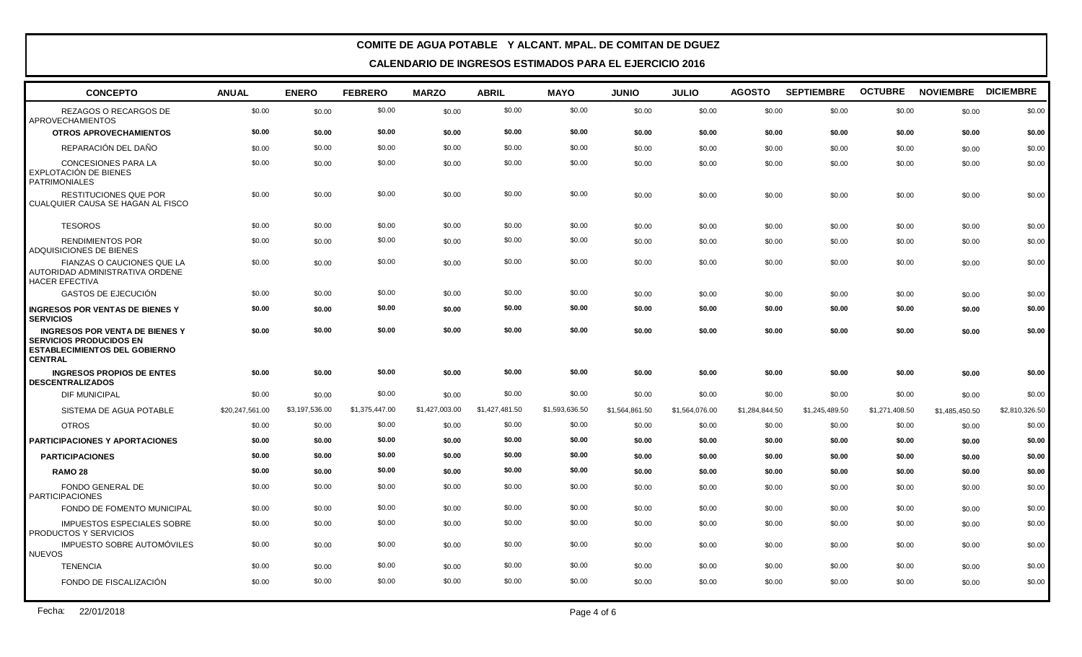| <b>CONCEPTO</b>                                                                                                                   | <b>ANUAL</b>    | <b>ENERO</b>   | <b>FEBRERO</b> | <b>MARZO</b>   | <b>ABRIL</b>   | <b>MAYO</b>    | <b>JUNIO</b>   | <b>JULIO</b>   | <b>AGOSTO</b>  | <b>SEPTIEMBRE</b> | <b>OCTUBRE</b> | NOVIEMBRE DICIEMBRE |                |
|-----------------------------------------------------------------------------------------------------------------------------------|-----------------|----------------|----------------|----------------|----------------|----------------|----------------|----------------|----------------|-------------------|----------------|---------------------|----------------|
| REZAGOS O RECARGOS DE<br>APROVECHAMIENTOS                                                                                         | \$0.00          | \$0.00         | \$0.00         | \$0.00         | \$0.00         | \$0.00         | \$0.00         | \$0.00         | \$0.00         | \$0.00            | \$0.00         | \$0.00              | \$0.00         |
| <b>OTROS APROVECHAMIENTOS</b>                                                                                                     | \$0.00          | \$0.00         | \$0.00         | \$0.00         | \$0.00         | \$0.00         | \$0.00         | \$0.00         | \$0.00         | \$0.00            | \$0.00         | \$0.00              | \$0.00         |
| REPARACIÓN DEL DAÑO                                                                                                               | \$0.00          | \$0.00         | \$0.00         | \$0.00         | \$0.00         | \$0.00         | \$0.00         | \$0.00         | \$0.00         | \$0.00            | \$0.00         | \$0.00              | \$0.00         |
| <b>CONCESIONES PARA LA</b><br>EXPLOTACIÓN DE BIENES<br><b>PATRIMONIALES</b>                                                       | \$0.00          | \$0.00         | \$0.00         | \$0.00         | \$0.00         | \$0.00         | \$0.00         | \$0.00         | \$0.00         | \$0.00            | \$0.00         | \$0.00              | \$0.00         |
| <b>RESTITUCIONES QUE POR</b><br>I CUALQUIER CAUSA SE HAGAN AL FISCO                                                               | \$0.00          | \$0.00         | \$0.00         | \$0.00         | \$0.00         | \$0.00         | \$0.00         | \$0.00         | \$0.00         | \$0.00            | \$0.00         | \$0.00              | \$0.00         |
| <b>TESOROS</b>                                                                                                                    | \$0.00          | \$0.00         | \$0.00         | \$0.00         | \$0.00         | \$0.00         | \$0.00         | \$0.00         | \$0.00         | \$0.00            | \$0.00         | \$0.00              | \$0.00         |
| <b>RENDIMIENTOS POR</b><br>ADQUISICIONES DE BIENES                                                                                | \$0.00          | \$0.00         | \$0.00         | \$0.00         | \$0.00         | \$0.00         | \$0.00         | \$0.00         | \$0.00         | \$0.00            | \$0.00         | \$0.00              | \$0.00         |
| FIANZAS O CAUCIONES QUE LA<br>AUTORIDAD ADMINISTRATIVA ORDENE<br><b>HACER EFECTIVA</b>                                            | \$0.00          | \$0.00         | \$0.00         | \$0.00         | \$0.00         | \$0.00         | \$0.00         | \$0.00         | \$0.00         | \$0.00            | \$0.00         | \$0.00              | \$0.00         |
| GASTOS DE EJECUCIÓN                                                                                                               | \$0.00          | \$0.00         | \$0.00         | \$0.00         | \$0.00         | \$0.00         | \$0.00         | \$0.00         | \$0.00         | \$0.00            | \$0.00         | \$0.00              | \$0.00         |
| <b>INGRESOS POR VENTAS DE BIENES Y</b><br><b>SERVICIOS</b>                                                                        | \$0.00          | \$0.00         | \$0.00         | \$0.00         | \$0.00         | \$0.00         | \$0.00         | \$0.00         | \$0.00         | \$0.00            | \$0.00         | \$0.00              | \$0.00         |
| <b>INGRESOS POR VENTA DE BIENES Y</b><br><b>SERVICIOS PRODUCIDOS EN</b><br><b>ESTABLECIMIENTOS DEL GOBIERNO</b><br><b>CENTRAL</b> | \$0.00          | \$0.00         | \$0.00         | \$0.00         | \$0.00         | \$0.00         | \$0.00         | \$0.00         | \$0.00         | \$0.00            | \$0.00         | \$0.00              | \$0.00         |
| <b>INGRESOS PROPIOS DE ENTES</b><br><b>DESCENTRALIZADOS</b>                                                                       | \$0.00          | \$0.00         | \$0.00         | \$0.00         | \$0.00         | \$0.00         | \$0.00         | \$0.00         | \$0.00         | \$0.00            | \$0.00         | \$0.00              | \$0.00         |
| <b>DIF MUNICIPAL</b>                                                                                                              | \$0.00          | \$0.00         | \$0.00         | \$0.00         | \$0.00         | \$0.00         | \$0.00         | \$0.00         | \$0.00         | \$0.00            | \$0.00         | \$0.00              | \$0.00         |
| SISTEMA DE AGUA POTABLE                                                                                                           | \$20,247,561.00 | \$3,197,536.00 | \$1,375,447.00 | \$1,427,003.00 | \$1,427,481.50 | \$1,593,636.50 | \$1,564,861.50 | \$1,564,076.00 | \$1,284,844.50 | \$1,245,489.50    | \$1,271,408.50 | \$1,485,450.50      | \$2,810,326.50 |
| <b>OTROS</b>                                                                                                                      | \$0.00          | \$0.00         | \$0.00         | \$0.00         | \$0.00         | \$0.00         | \$0.00         | \$0.00         | \$0.00         | \$0.00            | \$0.00         | \$0.00              | \$0.00         |
| PARTICIPACIONES Y APORTACIONES                                                                                                    | \$0.00          | \$0.00         | \$0.00         | \$0.00         | \$0.00         | \$0.00         | \$0.00         | \$0.00         | \$0.00         | \$0.00            | \$0.00         | \$0.00              | \$0.00         |
| <b>PARTICIPACIONES</b>                                                                                                            | \$0.00          | \$0.00         | \$0.00         | \$0.00         | \$0.00         | \$0.00         | \$0.00         | \$0.00         | \$0.00         | \$0.00            | \$0.00         | \$0.00              | \$0.00         |
| <b>RAMO 28</b>                                                                                                                    | \$0.00          | \$0.00         | \$0.00         | \$0.00         | \$0.00         | \$0.00         | \$0.00         | \$0.00         | \$0.00         | \$0.00            | \$0.00         | \$0.00              | \$0.00         |
| <b>FONDO GENERAL DE</b><br><b>PARTICIPACIONES</b>                                                                                 | \$0.00          | \$0.00         | \$0.00         | \$0.00         | \$0.00         | \$0.00         | \$0.00         | \$0.00         | \$0.00         | \$0.00            | \$0.00         | \$0.00              | \$0.00         |
| FONDO DE FOMENTO MUNICIPAL                                                                                                        | \$0.00          | \$0.00         | \$0.00         | \$0.00         | \$0.00         | \$0.00         | \$0.00         | \$0.00         | \$0.00         | \$0.00            | \$0.00         | \$0.00              | \$0.00         |
| IMPUESTOS ESPECIALES SOBRE<br>PRODUCTOS Y SERVICIOS                                                                               | \$0.00          | \$0.00         | \$0.00         | \$0.00         | \$0.00         | \$0.00         | \$0.00         | \$0.00         | \$0.00         | \$0.00            | \$0.00         | \$0.00              | \$0.00         |
| <b>IMPUESTO SOBRE AUTOMÓVILES</b><br><b>NUEVOS</b>                                                                                | \$0.00          | \$0.00         | \$0.00         | \$0.00         | \$0.00         | \$0.00         | \$0.00         | \$0.00         | \$0.00         | \$0.00            | \$0.00         | \$0.00              | \$0.00         |
| <b>TENENCIA</b>                                                                                                                   | \$0.00          | \$0.00         | \$0.00         | \$0.00         | \$0.00         | \$0.00         | \$0.00         | \$0.00         | \$0.00         | \$0.00            | \$0.00         | \$0.00              | \$0.00         |
| FONDO DE FISCALIZACIÓN                                                                                                            | \$0.00          | \$0.00         | \$0.00         | \$0.00         | \$0.00         | \$0.00         | \$0.00         | \$0.00         | \$0.00         | \$0.00            | \$0.00         | \$0.00              | \$0.00         |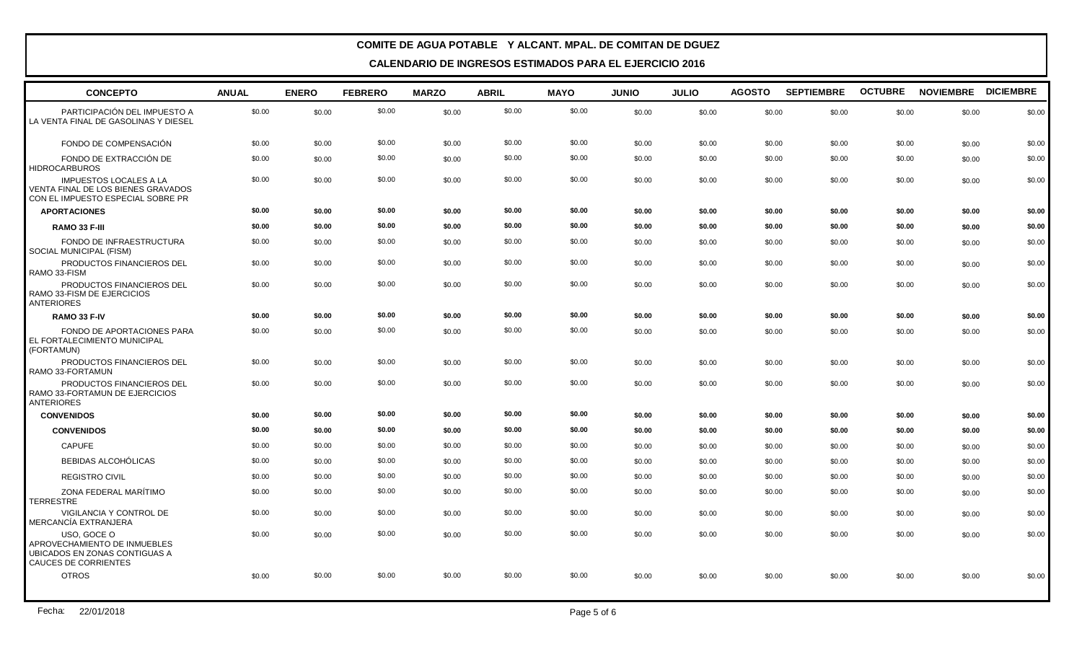| <b>CONCEPTO</b>                                                                                             | <b>ANUAL</b> | <b>ENERO</b> | <b>FEBRERO</b> | <b>MARZO</b> | <b>ABRIL</b> | <b>MAYO</b> | <b>JUNIO</b> | <b>JULIO</b> | <b>AGOSTO</b> | <b>SEPTIEMBRE</b> | <b>OCTUBRE</b> | NOVIEMBRE DICIEMBRE |        |
|-------------------------------------------------------------------------------------------------------------|--------------|--------------|----------------|--------------|--------------|-------------|--------------|--------------|---------------|-------------------|----------------|---------------------|--------|
| PARTICIPACIÓN DEL IMPUESTO A<br>LA VENTA FINAL DE GASOLINAS Y DIESEL                                        | \$0.00       | \$0.00       | \$0.00         | \$0.00       | \$0.00       | \$0.00      | \$0.00       | \$0.00       | \$0.00        | \$0.00            | \$0.00         | \$0.00              | \$0.00 |
| FONDO DE COMPENSACIÓN                                                                                       | \$0.00       | \$0.00       | \$0.00         | \$0.00       | \$0.00       | \$0.00      | \$0.00       | \$0.00       | \$0.00        | \$0.00            | \$0.00         | \$0.00              | \$0.00 |
| FONDO DE EXTRACCIÓN DE<br><b>HIDROCARBUROS</b>                                                              | \$0.00       | \$0.00       | \$0.00         | \$0.00       | \$0.00       | \$0.00      | \$0.00       | \$0.00       | \$0.00        | \$0.00            | \$0.00         | \$0.00              | \$0.00 |
| <b>IMPUESTOS LOCALES A LA</b><br>VENTA FINAL DE LOS BIENES GRAVADOS<br>CON EL IMPUESTO ESPECIAL SOBRE PR    | \$0.00       | \$0.00       | \$0.00         | \$0.00       | \$0.00       | \$0.00      | \$0.00       | \$0.00       | \$0.00        | \$0.00            | \$0.00         | \$0.00              | \$0.00 |
| <b>APORTACIONES</b>                                                                                         | \$0.00       | \$0.00       | \$0.00         | \$0.00       | \$0.00       | \$0.00      | \$0.00       | \$0.00       | \$0.00        | \$0.00            | \$0.00         | \$0.00              | \$0.00 |
| RAMO 33 F-III                                                                                               | \$0.00       | \$0.00       | \$0.00         | \$0.00       | \$0.00       | \$0.00      | \$0.00       | \$0.00       | \$0.00        | \$0.00            | \$0.00         | \$0.00              | \$0.00 |
| FONDO DE INFRAESTRUCTURA<br>SOCIAL MUNICIPAL (FISM)                                                         | \$0.00       | \$0.00       | \$0.00         | \$0.00       | \$0.00       | \$0.00      | \$0.00       | \$0.00       | \$0.00        | \$0.00            | \$0.00         | \$0.00              | \$0.00 |
| PRODUCTOS FINANCIEROS DEL<br>RAMO 33-FISM                                                                   | \$0.00       | \$0.00       | \$0.00         | \$0.00       | \$0.00       | \$0.00      | \$0.00       | \$0.00       | \$0.00        | \$0.00            | \$0.00         | \$0.00              | \$0.00 |
| PRODUCTOS FINANCIEROS DEL<br>RAMO 33-FISM DE EJERCICIOS<br><b>ANTERIORES</b>                                | \$0.00       | \$0.00       | \$0.00         | \$0.00       | \$0.00       | \$0.00      | \$0.00       | \$0.00       | \$0.00        | \$0.00            | \$0.00         | \$0.00              | \$0.00 |
| RAMO 33 F-IV                                                                                                | \$0.00       | \$0.00       | \$0.00         | \$0.00       | \$0.00       | \$0.00      | \$0.00       | \$0.00       | \$0.00        | \$0.00            | \$0.00         | \$0.00              | \$0.00 |
| FONDO DE APORTACIONES PARA<br>EL FORTALECIMIENTO MUNICIPAL<br>(FORTAMUN)                                    | \$0.00       | \$0.00       | \$0.00         | \$0.00       | \$0.00       | \$0.00      | \$0.00       | \$0.00       | \$0.00        | \$0.00            | \$0.00         | \$0.00              | \$0.00 |
| PRODUCTOS FINANCIEROS DEL<br>RAMO 33-FORTAMUN                                                               | \$0.00       | \$0.00       | \$0.00         | \$0.00       | \$0.00       | \$0.00      | \$0.00       | \$0.00       | \$0.00        | \$0.00            | \$0.00         | \$0.00              | \$0.00 |
| PRODUCTOS FINANCIEROS DEL<br>RAMO 33-FORTAMUN DE EJERCICIOS<br><b>ANTERIORES</b>                            | \$0.00       | \$0.00       | \$0.00         | \$0.00       | \$0.00       | \$0.00      | \$0.00       | \$0.00       | \$0.00        | \$0.00            | \$0.00         | \$0.00              | \$0.00 |
| <b>CONVENIDOS</b>                                                                                           | \$0.00       | \$0.00       | \$0.00         | \$0.00       | \$0.00       | \$0.00      | \$0.00       | \$0.00       | \$0.00        | \$0.00            | \$0.00         | \$0.00              | \$0.00 |
| <b>CONVENIDOS</b>                                                                                           | \$0.00       | \$0.00       | \$0.00         | \$0.00       | \$0.00       | \$0.00      | \$0.00       | \$0.00       | \$0.00        | \$0.00            | \$0.00         | \$0.00              | \$0.00 |
| <b>CAPUFE</b>                                                                                               | \$0.00       | \$0.00       | \$0.00         | \$0.00       | \$0.00       | \$0.00      | \$0.00       | \$0.00       | \$0.00        | \$0.00            | \$0.00         | \$0.00              | \$0.00 |
| <b>BEBIDAS ALCOHÓLICAS</b>                                                                                  | \$0.00       | \$0.00       | \$0.00         | \$0.00       | \$0.00       | \$0.00      | \$0.00       | \$0.00       | \$0.00        | \$0.00            | \$0.00         | \$0.00              | \$0.00 |
| <b>REGISTRO CIVIL</b>                                                                                       | \$0.00       | \$0.00       | \$0.00         | \$0.00       | \$0.00       | \$0.00      | \$0.00       | \$0.00       | \$0.00        | \$0.00            | \$0.00         | \$0.00              | \$0.00 |
| ZONA FEDERAL MARÍTIMO<br><b>TERRESTRE</b>                                                                   | \$0.00       | \$0.00       | \$0.00         | \$0.00       | \$0.00       | \$0.00      | \$0.00       | \$0.00       | \$0.00        | \$0.00            | \$0.00         | \$0.00              | \$0.00 |
| <b>VIGILANCIA Y CONTROL DE</b><br>MERCANCÍA EXTRANJERA                                                      | \$0.00       | \$0.00       | \$0.00         | \$0.00       | \$0.00       | \$0.00      | \$0.00       | \$0.00       | \$0.00        | \$0.00            | \$0.00         | \$0.00              | \$0.00 |
| USO, GOCE O<br>APROVECHAMIENTO DE INMUEBLES<br>UBICADOS EN ZONAS CONTIGUAS A<br><b>CAUCES DE CORRIENTES</b> | \$0.00       | \$0.00       | \$0.00         | \$0.00       | \$0.00       | \$0.00      | \$0.00       | \$0.00       | \$0.00        | \$0.00            | \$0.00         | \$0.00              | \$0.00 |
| <b>OTROS</b>                                                                                                | \$0.00       | \$0.00       | \$0.00         | \$0.00       | \$0.00       | \$0.00      | \$0.00       | \$0.00       | \$0.00        | \$0.00            | \$0.00         | \$0.00              | \$0.00 |